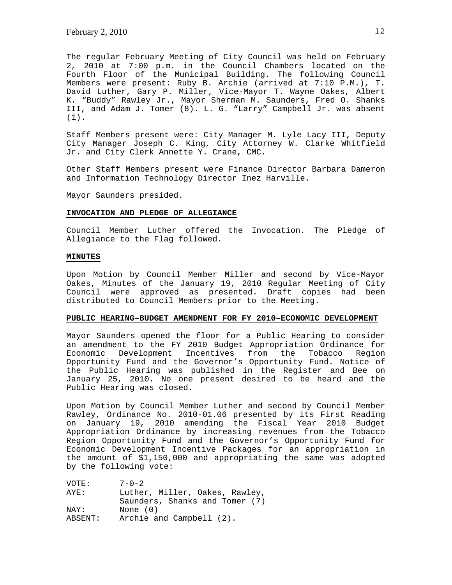The regular February Meeting of City Council was held on February 2, 2010 at 7:00 p.m. in the Council Chambers located on the Fourth Floor of the Municipal Building. The following Council Members were present: Ruby B. Archie (arrived at 7:10 P.M.), T. David Luther, Gary P. Miller, Vice-Mayor T. Wayne Oakes, Albert K. "Buddy" Rawley Jr., Mayor Sherman M. Saunders, Fred O. Shanks III, and Adam J. Tomer (8). L. G. "Larry" Campbell Jr. was absent (1).

Staff Members present were: City Manager M. Lyle Lacy III, Deputy City Manager Joseph C. King, City Attorney W. Clarke Whitfield Jr. and City Clerk Annette Y. Crane, CMC.

Other Staff Members present were Finance Director Barbara Dameron and Information Technology Director Inez Harville.

Mayor Saunders presided.

## **INVOCATION AND PLEDGE OF ALLEGIANCE**

Council Member Luther offered the Invocation. The Pledge of Allegiance to the Flag followed.

# **MINUTES**

Upon Motion by Council Member Miller and second by Vice-Mayor Oakes, Minutes of the January 19, 2010 Regular Meeting of City Council were approved as presented. Draft copies had been distributed to Council Members prior to the Meeting.

### **PUBLIC HEARING–BUDGET AMENDMENT FOR FY 2010–ECONOMIC DEVELOPMENT**

Mayor Saunders opened the floor for a Public Hearing to consider an amendment to the FY 2010 Budget Appropriation Ordinance for<br>Economic Development Incentives from the Tobacco Region Economic Development Incentives from the Tobacco Region Opportunity Fund and the Governor's Opportunity Fund. Notice of the Public Hearing was published in the Register and Bee on January 25, 2010. No one present desired to be heard and the Public Hearing was closed.

Upon Motion by Council Member Luther and second by Council Member Rawley, Ordinance No. 2010-01.06 presented by its First Reading on January 19, 2010 amending the Fiscal Year 2010 Budget Appropriation Ordinance by increasing revenues from the Tobacco Region Opportunity Fund and the Governor's Opportunity Fund for Economic Development Incentive Packages for an appropriation in the amount of \$1,150,000 and appropriating the same was adopted by the following vote:

| VOTE:   | $7 - 0 - 2$                    |
|---------|--------------------------------|
| AYE:    | Luther, Miller, Oakes, Rawley, |
|         | Saunders, Shanks and Tomer (7) |
| NAY:    | None $(0)$                     |
| ABSENT: | Archie and Campbell (2).       |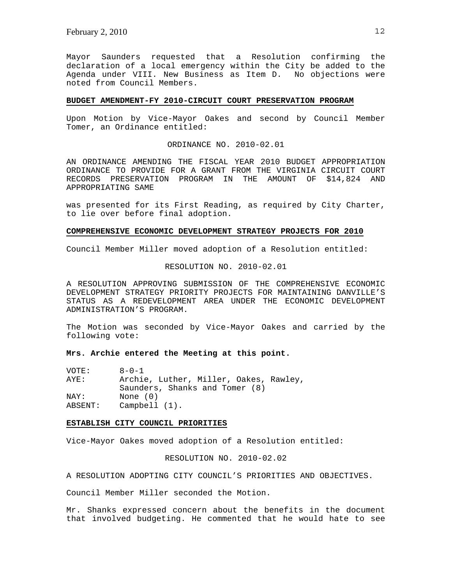Mayor Saunders requested that a Resolution confirming the declaration of a local emergency within the City be added to the Agenda under VIII. New Business as Item D. No objections were noted from Council Members.

#### **BUDGET AMENDMENT-FY 2010-CIRCUIT COURT PRESERVATION PROGRAM**

Upon Motion by Vice-Mayor Oakes and second by Council Member Tomer, an Ordinance entitled:

ORDINANCE NO. 2010-02.01

AN ORDINANCE AMENDING THE FISCAL YEAR 2010 BUDGET APPROPRIATION ORDINANCE TO PROVIDE FOR A GRANT FROM THE VIRGINIA CIRCUIT COURT RECORDS PRESERVATION PROGRAM IN THE AMOUNT OF \$14,824 AND APPROPRIATING SAME

was presented for its First Reading, as required by City Charter, to lie over before final adoption.

### **COMPREHENSIVE ECONOMIC DEVELOPMENT STRATEGY PROJECTS FOR 2010**

Council Member Miller moved adoption of a Resolution entitled:

RESOLUTION NO. 2010-02.01

A RESOLUTION APPROVING SUBMISSION OF THE COMPREHENSIVE ECONOMIC DEVELOPMENT STRATEGY PRIORITY PROJECTS FOR MAINTAINING DANVILLE'S STATUS AS A REDEVELOPMENT AREA UNDER THE ECONOMIC DEVELOPMENT ADMINISTRATION'S PROGRAM.

The Motion was seconded by Vice-Mayor Oakes and carried by the following vote:

# **Mrs. Archie entered the Meeting at this point.**

| VOTE:   | $8 - 0 - 1$                            |
|---------|----------------------------------------|
| AYE:    | Archie, Luther, Miller, Oakes, Rawley, |
|         | Saunders, Shanks and Tomer (8)         |
| NAY:    | None $(0)$                             |
| ABSENT: | $Campbell (1)$ .                       |

#### **ESTABLISH CITY COUNCIL PRIORITIES**

Vice-Mayor Oakes moved adoption of a Resolution entitled:

RESOLUTION NO. 2010-02.02

A RESOLUTION ADOPTING CITY COUNCIL'S PRIORITIES AND OBJECTIVES.

Council Member Miller seconded the Motion.

Mr. Shanks expressed concern about the benefits in the document that involved budgeting. He commented that he would hate to see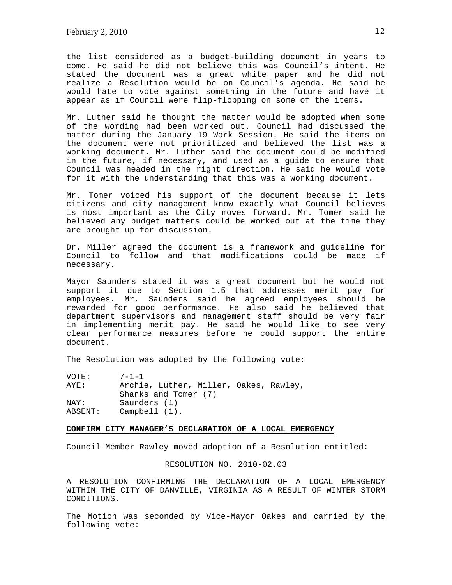the list considered as a budget-building document in years to come. He said he did not believe this was Council's intent. He stated the document was a great white paper and he did not realize a Resolution would be on Council's agenda. He said he would hate to vote against something in the future and have it appear as if Council were flip-flopping on some of the items.

Mr. Luther said he thought the matter would be adopted when some of the wording had been worked out. Council had discussed the matter during the January 19 Work Session. He said the items on the document were not prioritized and believed the list was a working document. Mr. Luther said the document could be modified in the future, if necessary, and used as a guide to ensure that Council was headed in the right direction. He said he would vote for it with the understanding that this was a working document.

Mr. Tomer voiced his support of the document because it lets citizens and city management know exactly what Council believes is most important as the City moves forward. Mr. Tomer said he believed any budget matters could be worked out at the time they are brought up for discussion.

Dr. Miller agreed the document is a framework and guideline for Council to follow and that modifications could be made if necessary.

Mayor Saunders stated it was a great document but he would not support it due to Section 1.5 that addresses merit pay for employees. Mr. Saunders said he agreed employees should be rewarded for good performance. He also said he believed that department supervisors and management staff should be very fair in implementing merit pay. He said he would like to see very clear performance measures before he could support the entire document.

The Resolution was adopted by the following vote:

| VOTE:   | $7 - 1 - 1$                            |
|---------|----------------------------------------|
| AYE:    | Archie, Luther, Miller, Oakes, Rawley, |
|         | Shanks and Tomer (7)                   |
| NAY:    | Saunders (1)                           |
| ABSENT: | $Campbell (1)$ .                       |

#### **CONFIRM CITY MANAGER'S DECLARATION OF A LOCAL EMERGENCY**

Council Member Rawley moved adoption of a Resolution entitled:

RESOLUTION NO. 2010-02.03

A RESOLUTION CONFIRMING THE DECLARATION OF A LOCAL EMERGENCY WITHIN THE CITY OF DANVILLE, VIRGINIA AS A RESULT OF WINTER STORM CONDITIONS.

The Motion was seconded by Vice-Mayor Oakes and carried by the following vote: